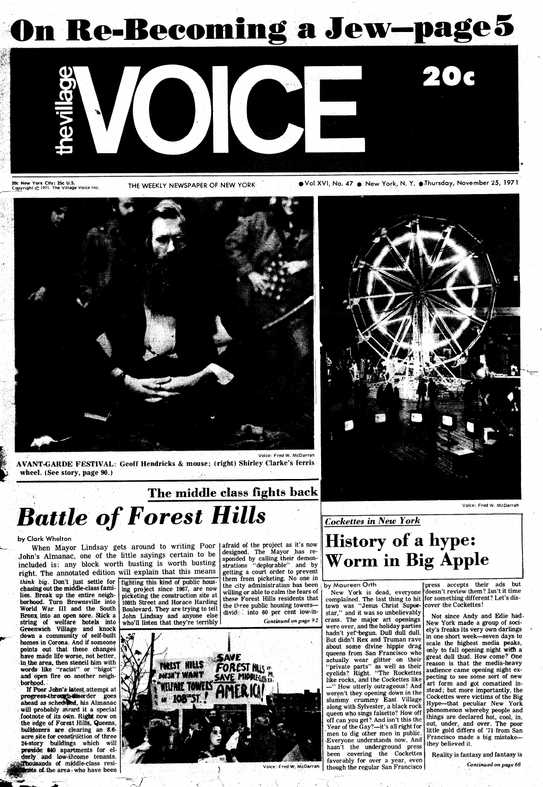# On Re-Becoming a Jew-page5



20c New York City; 25c U.S.<br>Copyright @ 1971. The Village Voice Inc

THE WEEKLY NEWSPAPER OF NEW YORK #Vol XVI, No. 47 9 New York, N. Y. 97hursday, November 25, 1971



AVANT-GARDE FESTIVAL: Geoff Hendricks & mouse; (right) Shirley Clarke's ferris wheel. (See story, page 90.)

# The middle class fights back<br>Battle of Forest Hills

by Clark Whelton

John's Almanac, one of the little sayings certain to be think big. Don't just settle for chasing out the middle-class farmlies. Break up the entire neighborhood. Turn Brownsville into World War III and the South Bronx into an open sore. Stick a string of welfare hotels into Greenwich Village and knock down a community of self-built homes in Corona. And. if someone points out that these changes have made life worse, not better, in the area, then stencil him with words like "racist" or "bigot" and open fire on another neigh-<br>borhood.

If Poor John's latest attempt at progress-through disorder goes ahead as scheddled, his Almanac will probably avard it a special footnote of its own. Right now on the edge of Forest Hills, Queens, bulldozers are clearing an 8.6acre site for construction of three 24-story buildings which will provide 840 apartments for elderly and low-income tenants. thousands of middle-class resi**onts of the area who have been** 

included is: any block worth busting is worth busting right. The annotated edition will explain that this means fighting this kind of public hous ing project since 1967, are now picketing the construction site at 108th Street and Horace Harding Boulevard. They are trying to tell John Lindsay and anyone else who'll listen that they're terribly

When Mayor Lindsay gets around to writing Poor afraid of the project as it's now<br>designed. The Mayor has redesigned. The Mayor has responded by calling their demonstrations "deplqrable" and by getting a court order to prevent them from, picketing. No one in the city administration has been by Maureen Orth willing or able to calm the fears of these Forest Hills residents that the three public housing towers-divide\_ : into 60 per cent low-in-Continued onpage 92





Voice: Fred W. McDarrah

### Cockettes in New York

# History of a hype: Worm in Big Apple

New York is dead, everyone complained. The last thing to hit town was "Jesus Christ Superstar," and it was so unbelievably crass. The major art openings were over, and the holiday parties hadn't yet begun. Dull dull dull. But didn't Rex and Truman rave about some divine hippie drag queens from San Francisco who actually wear glitter on their "private parts" as well as their eyelids?. Right. "The Rockettes like rocks, and the Cockettes like -" How utterly outrageous! And weren't they opening down in the slummy crummy East Village along with Sylvester, a black rock queen who sings falsetto? How off 'off can you get? And isn't this the Year of the Gay?-it's all right for men to dig other men in public. Everyone understands now, And hasn't the underground press been covering the Cockettes favorably for over a year, even though the regular San Francisco

press accepts their ads but doesn't review them? Isn't it time for something different? Let's discover the Cockettes!

Not since Andy and Edie had-New York made a group of society's freaks its very own darlings in one short week-seven days to scale the highest media peaks, only to fall opening night with a great dull thud. How come? One reason is that. the media-heavy audience came opening, night expecting to see some sort of new 'art form and got comatized instead ; but more importantly, the Cockettes were victims of the Big Hype-that peculiar New York phenomenon whereby, people and things are declared hot, cool, in, out, under, and over. The poor little gold differs of '71 from San Francisco made a big mistakethey believed it.

Reality is fantasy and fantasy is Continued on page 68